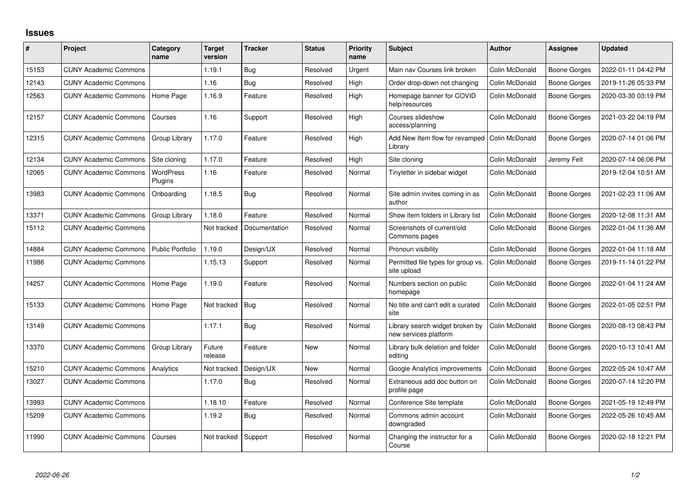## **Issues**

| #     | Project                      | Category<br>name            | <b>Target</b><br>version | <b>Tracker</b> | <b>Status</b> | <b>Priority</b><br>name | <b>Subject</b>                                           | <b>Author</b>  | Assignee            | <b>Updated</b>      |
|-------|------------------------------|-----------------------------|--------------------------|----------------|---------------|-------------------------|----------------------------------------------------------|----------------|---------------------|---------------------|
| 15153 | <b>CUNY Academic Commons</b> |                             | 1.19.1                   | Bug            | Resolved      | Urgent                  | Main nav Courses link broken                             | Colin McDonald | <b>Boone Gorges</b> | 2022-01-11 04:42 PM |
| 12143 | <b>CUNY Academic Commons</b> |                             | 1.16                     | <b>Bug</b>     | Resolved      | High                    | Order drop-down not changing                             | Colin McDonald | <b>Boone Gorges</b> | 2019-11-26 05:33 PM |
| 12563 | <b>CUNY Academic Commons</b> | Home Page                   | 1.16.9                   | Feature        | Resolved      | High                    | Homepage banner for COVID<br>help/resources              | Colin McDonald | <b>Boone Gorges</b> | 2020-03-30 03:19 PM |
| 12157 | <b>CUNY Academic Commons</b> | Courses                     | 1.16                     | Support        | Resolved      | High                    | Courses slideshow<br>access/planning                     | Colin McDonald | Boone Gorges        | 2021-03-22 04:19 PM |
| 12315 | <b>CUNY Academic Commons</b> | Group Library               | 1.17.0                   | Feature        | Resolved      | High                    | Add New Item flow for revamped<br>Library                | Colin McDonald | <b>Boone Gorges</b> | 2020-07-14 01:06 PM |
| 12134 | <b>CUNY Academic Commons</b> | Site cloning                | 1.17.0                   | Feature        | Resolved      | High                    | Site cloning                                             | Colin McDonald | Jeremy Felt         | 2020-07-14 06:06 PM |
| 12065 | <b>CUNY Academic Commons</b> | <b>WordPress</b><br>Plugins | 1.16                     | Feature        | Resolved      | Normal                  | Tinyletter in sidebar widget                             | Colin McDonald |                     | 2019-12-04 10:51 AM |
| 13983 | <b>CUNY Academic Commons</b> | Onboarding                  | 1.18.5                   | <b>Bug</b>     | Resolved      | Normal                  | Site admin invites coming in as<br>author                | Colin McDonald | <b>Boone Gorges</b> | 2021-02-23 11:06 AM |
| 13371 | <b>CUNY Academic Commons</b> | Group Library               | 1.18.0                   | Feature        | Resolved      | Normal                  | Show item folders in Library list                        | Colin McDonald | <b>Boone Gorges</b> | 2020-12-08 11:31 AM |
| 15112 | <b>CUNY Academic Commons</b> |                             | Not tracked              | Documentation  | Resolved      | Normal                  | Screenshots of current/old<br>Commons pages              | Colin McDonald | Boone Gorges        | 2022-01-04 11:36 AM |
| 14884 | <b>CUNY Academic Commons</b> | <b>Public Portfolio</b>     | 1.19.0                   | Design/UX      | Resolved      | Normal                  | Pronoun visibility                                       | Colin McDonald | <b>Boone Gorges</b> | 2022-01-04 11:18 AM |
| 11986 | <b>CUNY Academic Commons</b> |                             | 1.15.13                  | Support        | Resolved      | Normal                  | Permitted file types for group vs.<br>site upload        | Colin McDonald | <b>Boone Gorges</b> | 2019-11-14 01:22 PM |
| 14257 | <b>CUNY Academic Commons</b> | Home Page                   | 1.19.0                   | Feature        | Resolved      | Normal                  | Numbers section on public<br>homepage                    | Colin McDonald | Boone Gorges        | 2022-01-04 11:24 AM |
| 15133 | <b>CUNY Academic Commons</b> | Home Page                   | Not tracked              | Bug            | Resolved      | Normal                  | No title and can't edit a curated<br>site                | Colin McDonald | <b>Boone Gorges</b> | 2022-01-05 02:51 PM |
| 13149 | <b>CUNY Academic Commons</b> |                             | 1.17.1                   | <b>Bug</b>     | Resolved      | Normal                  | Library search widget broken by<br>new services platform | Colin McDonald | <b>Boone Gorges</b> | 2020-08-13 08:43 PM |
| 13370 | <b>CUNY Academic Commons</b> | Group Library               | Future<br>release        | Feature        | New           | Normal                  | Library bulk deletion and folder<br>editing              | Colin McDonald | Boone Gorges        | 2020-10-13 10:41 AM |
| 15210 | <b>CUNY Academic Commons</b> | Analytics                   | Not tracked              | Design/UX      | <b>New</b>    | Normal                  | Google Analytics improvements                            | Colin McDonald | <b>Boone Gorges</b> | 2022-05-24 10:47 AM |
| 13027 | <b>CUNY Academic Commons</b> |                             | 1.17.0                   | <b>Bug</b>     | Resolved      | Normal                  | Extraneous add doc button on<br>profile page             | Colin McDonald | Boone Gorges        | 2020-07-14 12:20 PM |
| 13993 | <b>CUNY Academic Commons</b> |                             | 1.18.10                  | Feature        | Resolved      | Normal                  | Conference Site template                                 | Colin McDonald | <b>Boone Gorges</b> | 2021-05-19 12:49 PM |
| 15209 | <b>CUNY Academic Commons</b> |                             | 1.19.2                   | <b>Bug</b>     | Resolved      | Normal                  | Commons admin account<br>downgraded                      | Colin McDonald | Boone Gorges        | 2022-05-26 10:45 AM |
| 11990 | <b>CUNY Academic Commons</b> | Courses                     | Not tracked              | Support        | Resolved      | Normal                  | Changing the instructor for a<br>Course                  | Colin McDonald | <b>Boone Gorges</b> | 2020-02-18 12:21 PM |